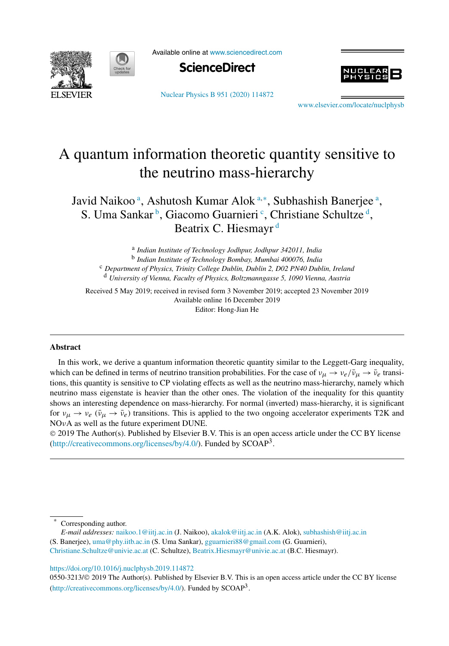



Available online at www.sciencedirect.com



Nuclear Physics B 951 (2020) 114872



www.elsevier.com/locate/nuclphysb

# A quantum information theoretic quantity sensitive to the neutrino mass-hierarchy

Javid Naikoo<sup>a</sup>, Ashutosh Kumar Alok<sup>a,∗</sup>, Subhashish Banerjee<sup>a</sup>, S. Uma Sankar<sup>b</sup>, Giacomo Guarnieri<sup>c</sup>, Christiane Schultze<sup>d</sup>, Beatrix C. Hiesmayr<sup>d</sup>

a *Indian Institute of Technology Jodhpur, Jodhpur 342011, India* b *Indian Institute of Technology Bombay, Mumbai 400076, India* <sup>c</sup> *Department of Physics, Trinity College Dublin, Dublin 2, D02 PN40 Dublin, Ireland* <sup>d</sup> *University of Vienna, Faculty of Physics, Boltzmanngasse 5, 1090 Vienna, Austria*

Received 5 May 2019; received in revised form 3 November 2019; accepted 23 November 2019 Available online 16 December 2019 Editor: Hong-Jian He

#### **Abstract**

In this work, we derive a quantum information theoretic quantity similar to the Leggett-Garg inequality, which can be defined in terms of neutrino transition probabilities. For the case of  $v_{\mu} \to v_e / \bar{v}_{\mu} \to \bar{v}_e$  transitions, this quantity is sensitive to CP violating effects as well as the neutrino mass-hierarchy, namely which neutrino mass eigenstate is heavier than the other ones. The violation of the inequality for this quantity shows an interesting dependence on mass-hierarchy. For normal (inverted) mass-hierarchy, it is significant for  $v_{\mu} \rightarrow v_{e}$  ( $\bar{v}_{\mu} \rightarrow \bar{v}_{e}$ ) transitions. This is applied to the two ongoing accelerator experiments T2K and NOνA as well as the future experiment DUNE.

 2019 The Author(s). Published by Elsevier B.V. This is an open access article under the CC BY license (http://creativecommons.org/licenses/by/4.0/). Funded by  $SCOAP<sup>3</sup>$ .

https://doi.org/10.1016/j.nuclphysb.2019.114872

0550-3213/© 2019 The Author(s). Published by Elsevier B.V. This is an open access article under the CC BY license (http://creativecommons.org/licenses/by/4.0/). Funded by SCOAP<sup>3</sup>.

<sup>\*</sup> Corresponding author.

*E-mail addresses:* naikoo.1@iitj.ac.in (J. Naikoo), akalok@iitj.ac.in (A.K. Alok), subhashish@iitj.ac.in (S. Banerjee), uma@phy.iitb.ac.in (S. Uma Sankar), gguarnieri88@gmail.com (G. Guarnieri), Christiane.Schultze@univie.ac.at (C. Schultze), Beatrix.Hiesmayr@univie.ac.at (B.C. Hiesmayr).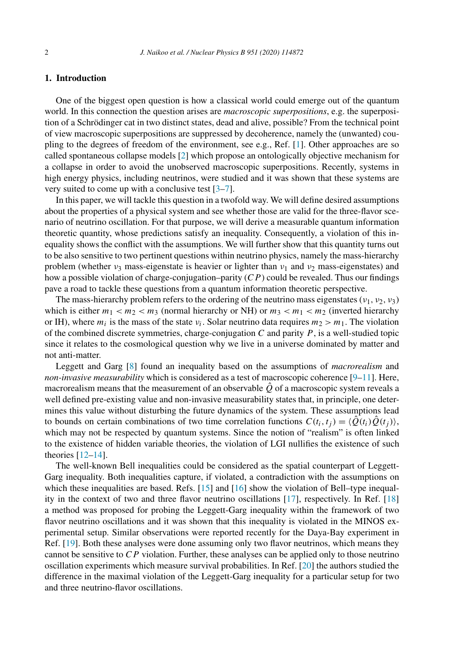# **1. Introduction**

One of the biggest open question is how a classical world could emerge out of the quantum world. In this connection the question arises are *macroscopic superpositions*, e.g. the superposition of a Schrödinger cat in two distinct states, dead and alive, possible? From the technical point of view macroscopic superpositions are suppressed by decoherence, namely the (unwanted) coupling to the degrees of freedom of the environment, see e.g., Ref. [1]. Other approaches are so called spontaneous collapse models [2] which propose an ontologically objective mechanism for a collapse in order to avoid the unobserved macroscopic superpositions. Recently, systems in high energy physics, including neutrinos, were studied and it was shown that these systems are very suited to come up with a conclusive test [3–7].

In this paper, we will tackle this question in a twofold way. We will define desired assumptions about the properties of a physical system and see whether those are valid for the three-flavor scenario of neutrino oscillation. For that purpose, we will derive a measurable quantum information theoretic quantity, whose predictions satisfy an inequality. Consequently, a violation of this inequality shows the conflict with the assumptions. We will further show that this quantity turns out to be also sensitive to two pertinent questions within neutrino physics, namely the mass-hierarchy problem (whether  $v_3$  mass-eigenstate is heavier or lighter than  $v_1$  and  $v_2$  mass-eigenstates) and how a possible violation of charge-conjugation–parity  $(CP)$  could be revealed. Thus our findings pave a road to tackle these questions from a quantum information theoretic perspective.

The mass-hierarchy problem refers to the ordering of the neutrino mass eigenstates ( $v_1$ ,  $v_2$ ,  $v_3$ ) which is either  $m_1 < m_2 < m_3$  (normal hierarchy or NH) or  $m_3 < m_1 < m_2$  (inverted hierarchy or IH), where  $m_i$  is the mass of the state  $v_i$ . Solar neutrino data requires  $m_2 > m_1$ . The violation of the combined discrete symmetries, charge-conjugation  $C$  and parity  $P$ , is a well-studied topic since it relates to the cosmological question why we live in a universe dominated by matter and not anti-matter.

Leggett and Garg [8] found an inequality based on the assumptions of *macrorealism* and *non-invasive measurability* which is considered as a test of macroscopic coherence [9–11]. Here, macrorealism means that the measurement of an observable  $\hat{Q}$  of a macroscopic system reveals a well defined pre-existing value and non-invasive measurability states that, in principle, one determines this value without disturbing the future dynamics of the system. These assumptions lead to bounds on certain combinations of two time correlation functions  $C(t_i, t_j) = \langle Q(t_i)Q(t_j) \rangle$ , which may not be respected by quantum systems. Since the notion of "realism" is often linked to the existence of hidden variable theories, the violation of LGI nullifies the existence of such theories [12–14].

The well-known Bell inequalities could be considered as the spatial counterpart of Leggett-Garg inequality. Both inequalities capture, if violated, a contradiction with the assumptions on which these inequalities are based. Refs. [15] and [16] show the violation of Bell–type inequality in the context of two and three flavor neutrino oscillations [17], respectively. In Ref. [18] a method was proposed for probing the Leggett-Garg inequality within the framework of two flavor neutrino oscillations and it was shown that this inequality is violated in the MINOS experimental setup. Similar observations were reported recently for the Daya-Bay experiment in Ref. [19]. Both these analyses were done assuming only two flavor neutrinos, which means they cannot be sensitive to  $\overline{CP}$  violation. Further, these analyses can be applied only to those neutrino oscillation experiments which measure survival probabilities. In Ref. [20] the authors studied the difference in the maximal violation of the Leggett-Garg inequality for a particular setup for two and three neutrino-flavor oscillations.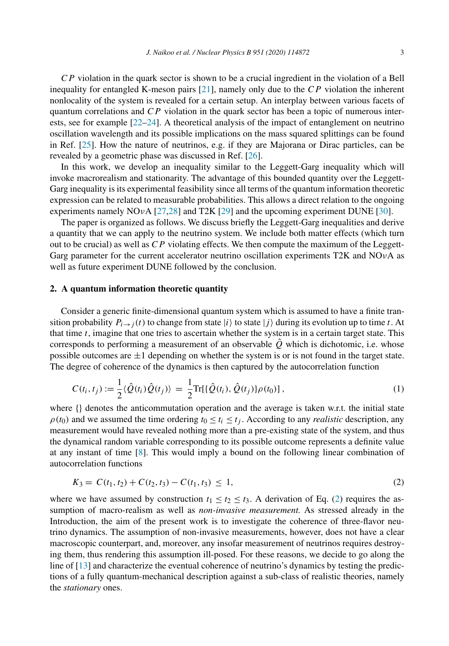$\mathbb{C}P$  violation in the quark sector is shown to be a crucial ingredient in the violation of a Bell inequality for entangled K-meson pairs  $[21]$ , namely only due to the  $\overline{CP}$  violation the inherent nonlocality of the system is revealed for a certain setup. An interplay between various facets of quantum correlations and  $CP$  violation in the quark sector has been a topic of numerous interests, see for example [22–24]. A theoretical analysis of the impact of entanglement on neutrino oscillation wavelength and its possible implications on the mass squared splittings can be found in Ref. [25]. How the nature of neutrinos, e.g. if they are Majorana or Dirac particles, can be revealed by a geometric phase was discussed in Ref. [26].

In this work, we develop an inequality similar to the Leggett-Garg inequality which will invoke macrorealism and stationarity. The advantage of this bounded quantity over the Leggett-Garg inequality is its experimental feasibility since all terms of the quantum information theoretic expression can be related to measurable probabilities. This allows a direct relation to the ongoing experiments namely NOvA  $[27,28]$  and T2K  $[29]$  and the upcoming experiment DUNE  $[30]$ .

The paper is organized as follows. We discuss briefly the Leggett-Garg inequalities and derive a quantity that we can apply to the neutrino system. We include both matter effects (which turn out to be crucial) as well as  $CP$  violating effects. We then compute the maximum of the Leggett-Garg parameter for the current accelerator neutrino oscillation experiments T2K and NO $\nu$ A as well as future experiment DUNE followed by the conclusion.

#### **2. A quantum information theoretic quantity**

Consider a generic finite-dimensional quantum system which is assumed to have a finite transition probability  $P_{i\rightarrow j}(t)$  to change from state  $|i\rangle$  to state  $|j\rangle$  during its evolution up to time t. At that time  $t$ , imagine that one tries to ascertain whether the system is in a certain target state. This corresponds to performing a measurement of an observable  $\hat{Q}$  which is dichotomic, i.e. whose possible outcomes are  $\pm 1$  depending on whether the system is or is not found in the target state. The degree of coherence of the dynamics is then captured by the autocorrelation function

$$
C(t_i, t_j) := \frac{1}{2} \langle \hat{Q}(t_i) \hat{Q}(t_j) \rangle = \frac{1}{2} \text{Tr}[\{\hat{Q}(t_i), \hat{Q}(t_j)\} \rho(t_0)], \qquad (1)
$$

where {} denotes the anticommutation operation and the average is taken w.r.t. the initial state  $\rho(t_0)$  and we assumed the time ordering  $t_0 \le t_i \le t_j$ . According to any *realistic* description, any measurement would have revealed nothing more than a pre-existing state of the system, and thus the dynamical random variable corresponding to its possible outcome represents a definite value at any instant of time [8]. This would imply a bound on the following linear combination of autocorrelation functions

$$
K_3 = C(t_1, t_2) + C(t_2, t_3) - C(t_1, t_3) \le 1,
$$
\n<sup>(2)</sup>

where we have assumed by construction  $t_1 \le t_2 \le t_3$ . A derivation of Eq. (2) requires the assumption of macro-realism as well as *non-invasive measurement.* As stressed already in the Introduction, the aim of the present work is to investigate the coherence of three-flavor neutrino dynamics. The assumption of non-invasive measurements, however, does not have a clear macroscopic counterpart, and, moreover, any insofar measurement of neutrinos requires destroying them, thus rendering this assumption ill-posed. For these reasons, we decide to go along the line of [13] and characterize the eventual coherence of neutrino's dynamics by testing the predictions of a fully quantum-mechanical description against a sub-class of realistic theories, namely the *stationary* ones.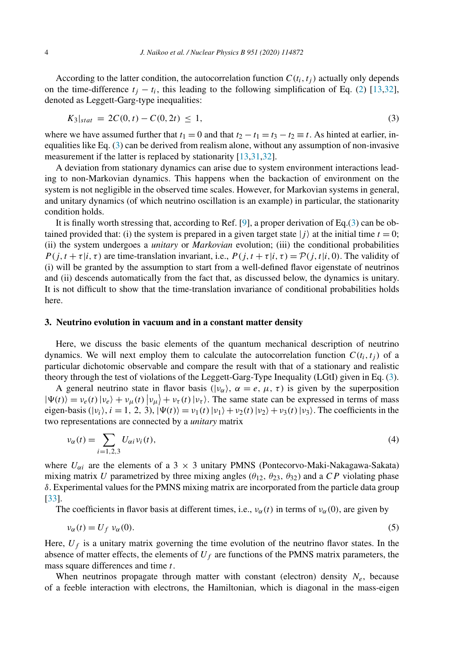According to the latter condition, the autocorrelation function  $C(t_i, t_j)$  actually only depends on the time-difference  $t_j - t_i$ , this leading to the following simplification of Eq. (2) [13,32], denoted as Leggett-Garg-type inequalities:

$$
K_3|_{stat} = 2C(0, t) - C(0, 2t) \le 1,
$$
\n(3)

where we have assumed further that  $t_1 = 0$  and that  $t_2 - t_1 = t_3 - t_2 \equiv t$ . As hinted at earlier, inequalities like Eq. (3) can be derived from realism alone, without any assumption of non-invasive measurement if the latter is replaced by stationarity [13,31,32].

A deviation from stationary dynamics can arise due to system environment interactions leading to non-Markovian dynamics. This happens when the backaction of environment on the system is not negligible in the observed time scales. However, for Markovian systems in general, and unitary dynamics (of which neutrino oscillation is an example) in particular, the stationarity condition holds.

It is finally worth stressing that, according to Ref. [9], a proper derivation of Eq.(3) can be obtained provided that: (i) the system is prepared in a given target state  $|j\rangle$  at the initial time  $t = 0$ ; (ii) the system undergoes a *unitary* or *Markovian* evolution; (iii) the conditional probabilities  $P(j, t + \tau | i, \tau)$  are time-translation invariant, i.e.,  $P(j, t + \tau | i, \tau) = P(j, t | i, 0)$ . The validity of (i) will be granted by the assumption to start from a well-defined flavor eigenstate of neutrinos and (ii) descends automatically from the fact that, as discussed below, the dynamics is unitary. It is not difficult to show that the time-translation invariance of conditional probabilities holds here.

# **3. Neutrino evolution in vacuum and in a constant matter density**

Here, we discuss the basic elements of the quantum mechanical description of neutrino dynamics. We will next employ them to calculate the autocorrelation function  $C(t_i, t_i)$  of a particular dichotomic observable and compare the result with that of a stationary and realistic theory through the test of violations of the Leggett-Garg-Type Inequality (LGtI) given in Eq. (3).

A general neutrino state in flavor basis ( $|v_\alpha\rangle$ ,  $\alpha = e, \mu, \tau$ ) is given by the superposition  $|\Psi(t)\rangle = v_e(t) |v_e\rangle + v_\mu(t) |v_\mu\rangle + v_\tau(t) |v_\tau\rangle$ . The same state can be expressed in terms of mass eigen-basis  $(|v_i\rangle, i = 1, 2, 3)$ ,  $|\Psi(t)\rangle = v_1(t) |v_1\rangle + v_2(t) |v_2\rangle + v_3(t) |v_3\rangle$ . The coefficients in the two representations are connected by a *unitary* matrix

$$
\nu_{\alpha}(t) = \sum_{i=1,2,3} U_{\alpha i} \nu_i(t),\tag{4}
$$

where  $U_{\alpha i}$  are the elements of a 3 × 3 unitary PMNS (Pontecorvo-Maki-Nakagawa-Sakata) mixing matrix U parametrized by three mixing angles ( $\theta_{12}$ ,  $\theta_{23}$ ,  $\theta_{32}$ ) and a CP violating phase  $\delta$ . Experimental values for the PMNS mixing matrix are incorporated from the particle data group [33].

The coefficients in flavor basis at different times, i.e.,  $v_{\alpha}(t)$  in terms of  $v_{\alpha}(0)$ , are given by

$$
\nu_{\alpha}(t) = U_f \, \nu_{\alpha}(0). \tag{5}
$$

Here,  $U_f$  is a unitary matrix governing the time evolution of the neutrino flavor states. In the absence of matter effects, the elements of  $U_f$  are functions of the PMNS matrix parameters, the mass square differences and time  $t$ .

When neutrinos propagate through matter with constant (electron) density  $N_e$ , because of a feeble interaction with electrons, the Hamiltonian, which is diagonal in the mass-eigen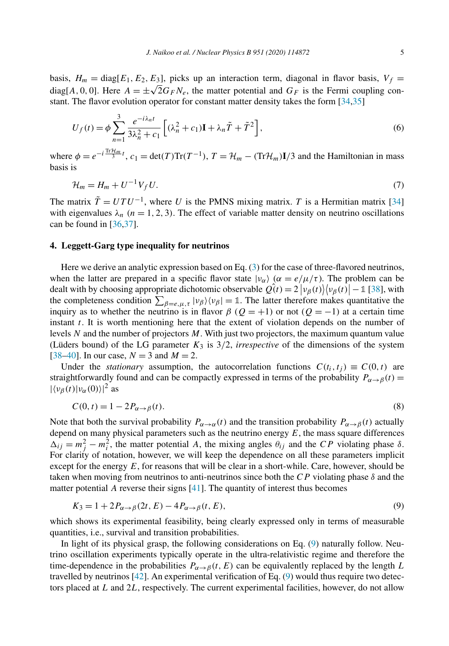basis,  $H_m = \text{diag}[E_1, E_2, E_3]$ , picks up an interaction term, diagonal in flavor basis,  $V_f =$ diag[A, 0, 0]. Here  $A = \pm \sqrt{2} G_F N_e$ , the matter potential and  $G_F$  is the Fermi coupling constant. The flavor evolution operator for constant matter density takes the form [34,35]

$$
U_f(t) = \phi \sum_{n=1}^3 \frac{e^{-i\lambda_n t}}{3\lambda_n^2 + c_1} \left[ (\lambda_n^2 + c_1)\mathbf{I} + \lambda_n \tilde{T} + \tilde{T}^2 \right],\tag{6}
$$

where  $\phi = e^{-i\frac{\text{Tr}\mathcal{H}_m}{3}t}$ ,  $c_1 = \text{det}(T)\text{Tr}(T^{-1})$ ,  $T = \mathcal{H}_m - (\text{Tr}\mathcal{H}_m)\mathbf{I}/3$  and the Hamiltonian in mass basis is

$$
\mathcal{H}_m = H_m + U^{-1} V_f U. \tag{7}
$$

The matrix  $\tilde{T} = U T U^{-1}$ , where U is the PMNS mixing matrix. T is a Hermitian matrix [34] with eigenvalues  $\lambda_n$  ( $n = 1, 2, 3$ ). The effect of variable matter density on neutrino oscillations can be found in [36,37].

#### **4. Leggett-Garg type inequality for neutrinos**

Here we derive an analytic expression based on Eq. (3) for the case of three-flavored neutrinos, when the latter are prepared in a specific flavor state  $|v_{\alpha}\rangle$  ( $\alpha = e/\mu/\tau$ ). The problem can be dealt with by choosing appropriate dichotomic observable  $\hat{Q}(t) = 2 |v_{\beta}(t)| \langle v_{\beta}(t) | - 1 | 38]$ , with the completeness condition  $\sum_{\beta=e,\mu,\tau} |\nu_{\beta}\rangle \langle \nu_{\beta}| = 1$ . The latter therefore makes quantitative the inquiry as to whether the neutrino is in flavor  $\beta$  ( $Q = +1$ ) or not ( $Q = -1$ ) at a certain time instant  $t$ . It is worth mentioning here that the extent of violation depends on the number of levels  $N$  and the number of projectors  $M$ . With just two projectors, the maximum quantum value (Lüders bound) of the LG parameter  $K_3$  is  $3/2$ , *irrespective* of the dimensions of the system [38–40]. In our case,  $N = 3$  and  $M = 2$ .

Under the *stationary* assumption, the autocorrelation functions  $C(t_i, t_j) \equiv C(0, t)$  are straightforwardly found and can be compactly expressed in terms of the probability  $P_{\alpha \to \beta}(t) =$  $|\langle v_\beta(t)|v_\alpha(0)\rangle|^2$  as

$$
C(0, t) = 1 - 2P_{\alpha \to \beta}(t). \tag{8}
$$

Note that both the survival probability  $P_{\alpha\to\alpha}(t)$  and the transition probability  $P_{\alpha\to\beta}(t)$  actually depend on many physical parameters such as the neutrino energy  $E$ , the mass square differences  $\Delta_{ij} = m_j^2 - m_i^2$ , the matter potential A, the mixing angles  $\theta_{ij}$  and the CP violating phase  $\delta$ . For clarity of notation, however, we will keep the dependence on all these parameters implicit except for the energy  $E$ , for reasons that will be clear in a short-while. Care, however, should be taken when moving from neutrinos to anti-neutrinos since both the  $\overline{CP}$  violating phase  $\delta$  and the matter potential A reverse their signs [41]. The quantity of interest thus becomes

$$
K_3 = 1 + 2P_{\alpha \to \beta}(2t, E) - 4P_{\alpha \to \beta}(t, E),
$$
\n<sup>(9)</sup>

which shows its experimental feasibility, being clearly expressed only in terms of measurable quantities, i.e., survival and transition probabilities.

In light of its physical grasp, the following considerations on Eq. (9) naturally follow. Neutrino oscillation experiments typically operate in the ultra-relativistic regime and therefore the time-dependence in the probabilities  $P_{\alpha \to \beta}(t, E)$  can be equivalently replaced by the length L travelled by neutrinos [42]. An experimental verification of Eq. (9) would thus require two detectors placed at L and 2L, respectively. The current experimental facilities, however, do not allow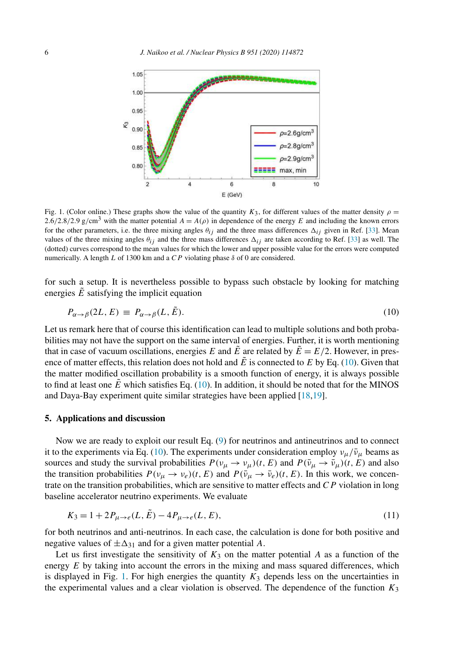

Fig. 1. (Color online.) These graphs show the value of the quantity  $K_3$ , for different values of the matter density  $\rho =$ 2.6/2.8/2.9 g/cm<sup>3</sup> with the matter potential  $A = A(\rho)$  in dependence of the energy E and including the known errors for the other parameters, i.e. the three mixing angles  $\theta_{ij}$  and the three mass differences  $\Delta_{ij}$  given in Ref. [33]. Mean values of the three mixing angles  $\theta_{ij}$  and the three mass differences  $\Delta_{ij}$  are taken according to Ref. [33] as well. The (dotted) curves correspond to the mean values for which the lower and upper possible value for the errors were computed numerically. A length  $L$  of 1300 km and a  $CP$  violating phase  $\delta$  of 0 are considered.

for such a setup. It is nevertheless possible to bypass such obstacle by looking for matching energies  $\tilde{E}$  satisfying the implicit equation

$$
P_{\alpha \to \beta}(2L, E) \equiv P_{\alpha \to \beta}(L, \tilde{E}). \tag{10}
$$

Let us remark here that of course this identification can lead to multiple solutions and both probabilities may not have the support on the same interval of energies. Further, it is worth mentioning that in case of vacuum oscillations, energies E and  $\tilde{E}$  are related by  $\tilde{E} = E/2$ . However, in presence of matter effects, this relation does not hold and  $\tilde{E}$  is connected to E by Eq. (10). Given that the matter modified oscillation probability is a smooth function of energy, it is always possible to find at least one  $\vec{E}$  which satisfies Eq. (10). In addition, it should be noted that for the MINOS and Daya-Bay experiment quite similar strategies have been applied [18,19].

#### **5. Applications and discussion**

Now we are ready to exploit our result Eq. (9) for neutrinos and antineutrinos and to connect it to the experiments via Eq. (10). The experiments under consideration employ  $v_\mu/\bar{v}_\mu$  beams as sources and study the survival probabilities  $P(\nu_{\mu} \to \nu_{\mu})(t, E)$  and  $P(\bar{\nu}_{\mu} \to \bar{\nu}_{\mu})(t, E)$  and also the transition probabilities  $P(\nu_{\mu} \to \nu_{e})(t, E)$  and  $P(\bar{\nu}_{\mu} \to \bar{\nu}_{e})(t, E)$ . In this work, we concentrate on the transition probabilities, which are sensitive to matter effects and CP violation in long baseline accelerator neutrino experiments. We evaluate

$$
K_3 = 1 + 2P_{\mu \to e}(L, \tilde{E}) - 4P_{\mu \to e}(L, E),
$$
\n(11)

for both neutrinos and anti-neutrinos. In each case, the calculation is done for both positive and negative values of  $\pm \Delta_{31}$  and for a given matter potential A.

Let us first investigate the sensitivity of  $K_3$  on the matter potential A as a function of the energy  $E$  by taking into account the errors in the mixing and mass squared differences, which is displayed in Fig. 1. For high energies the quantity  $K_3$  depends less on the uncertainties in the experimental values and a clear violation is observed. The dependence of the function  $K_3$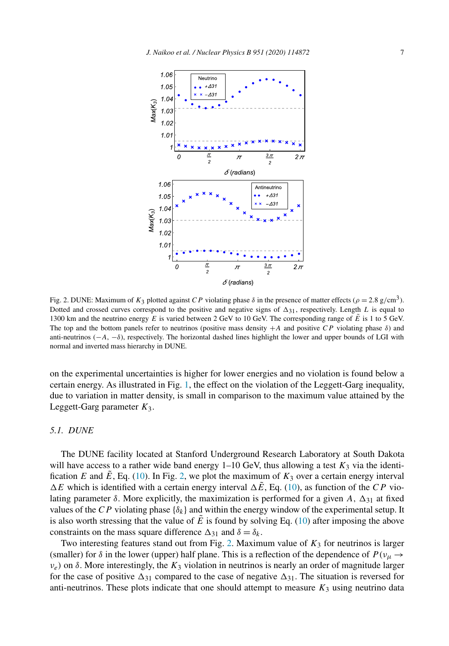

Fig. 2. DUNE: Maximum of  $K_3$  plotted against CP violating phase  $\delta$  in the presence of matter effects ( $\rho = 2.8$  g/cm<sup>3</sup>). Dotted and crossed curves correspond to the positive and negative signs of  $\Delta_{31}$ , respectively. Length L is equal to 1300 km and the neutrino energy E is varied between 2 GeV to 10 GeV. The corresponding range of  $\tilde{E}$  is 1 to 5 GeV. The top and the bottom panels refer to neutrinos (positive mass density  $+A$  and positive CP violating phase  $\delta$ ) and anti-neutrinos ( $-A$ ,  $-\delta$ ), respectively. The horizontal dashed lines highlight the lower and upper bounds of LGI with normal and inverted mass hierarchy in DUNE.

on the experimental uncertainties is higher for lower energies and no violation is found below a certain energy. As illustrated in Fig. 1, the effect on the violation of the Leggett-Garg inequality, due to variation in matter density, is small in comparison to the maximum value attained by the Leggett-Garg parameter  $K_3$ .

### *5.1. DUNE*

The DUNE facility located at Stanford Underground Research Laboratory at South Dakota will have access to a rather wide band energy  $1-10$  GeV, thus allowing a test  $K_3$  via the identification E and  $\bar{E}$ , Eq. (10). In Fig. 2, we plot the maximum of  $K_3$  over a certain energy interval  $\Delta E$  which is identified with a certain energy interval  $\Delta \tilde{E}$ , Eq. (10), as function of the CP violating parameter  $\delta$ . More explicitly, the maximization is performed for a given A,  $\Delta_{31}$  at fixed values of the CP violating phase  $\{\delta_k\}$  and within the energy window of the experimental setup. It is also worth stressing that the value of  $\vec{E}$  is found by solving Eq. (10) after imposing the above constraints on the mass square difference  $\Delta_{31}$  and  $\delta = \delta_k$ .

Two interesting features stand out from Fig. 2. Maximum value of  $K_3$  for neutrinos is larger (smaller) for  $\delta$  in the lower (upper) half plane. This is a reflection of the dependence of  $P(v_\mu \to$  $v_e$ ) on  $\delta$ . More interestingly, the  $K_3$  violation in neutrinos is nearly an order of magnitude larger for the case of positive  $\Delta_{31}$  compared to the case of negative  $\Delta_{31}$ . The situation is reversed for anti-neutrinos. These plots indicate that one should attempt to measure  $K_3$  using neutrino data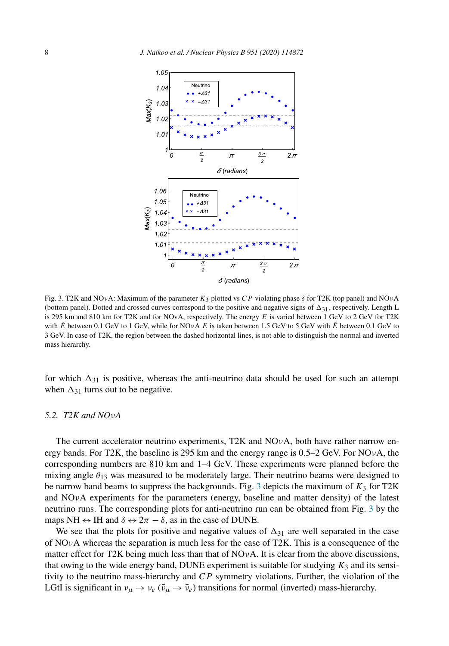

Fig. 3. T2K and NOvA: Maximum of the parameter  $K_3$  plotted vs CP violating phase  $\delta$  for T2K (top panel) and NOvA (bottom panel). Dotted and crossed curves correspond to the positive and negative signs of  $\Delta_{31}$ , respectively. Length L is 295 km and 810 km for T2K and for NOvA, respectively. The energy  $E$  is varied between 1 GeV to 2 GeV for T2K with  $\vec{E}$  between 0.1 GeV to 1 GeV, while for NOvA E is taken between 1.5 GeV to 5 GeV with  $\vec{E}$  between 0.1 GeV to 3 GeV. In case of T2K, the region between the dashed horizontal lines, is not able to distinguish the normal and inverted mass hierarchy.

for which  $\Delta_{31}$  is positive, whereas the anti-neutrino data should be used for such an attempt when  $\Delta_{31}$  turns out to be negative.

## *5.2. T2K and NO*ν*A*

The current accelerator neutrino experiments, T2K and  $NOvA$ , both have rather narrow energy bands. For T2K, the baseline is 295 km and the energy range is  $0.5-2$  GeV. For NO<sub>V</sub>A, the corresponding numbers are 810 km and 1–4 GeV. These experiments were planned before the mixing angle  $\theta_{13}$  was measured to be moderately large. Their neutrino beams were designed to be narrow band beams to suppress the backgrounds. Fig. 3 depicts the maximum of  $K_3$  for T2K and  $NOvA$  experiments for the parameters (energy, baseline and matter density) of the latest neutrino runs. The corresponding plots for anti-neutrino run can be obtained from Fig. 3 by the maps NH  $\leftrightarrow$  IH and  $\delta \leftrightarrow 2\pi - \delta$ , as in the case of DUNE.

We see that the plots for positive and negative values of  $\Delta_{31}$  are well separated in the case of  $NOvA$  whereas the separation is much less for the case of T2K. This is a consequence of the matter effect for T2K being much less than that of  $NOvA$ . It is clear from the above discussions, that owing to the wide energy band, DUNE experiment is suitable for studying  $K_3$  and its sensitivity to the neutrino mass-hierarchy and  $CP$  symmetry violations. Further, the violation of the LGtI is significant in  $v_{\mu} \rightarrow v_e$  ( $\bar{v}_{\mu} \rightarrow \bar{v}_e$ ) transitions for normal (inverted) mass-hierarchy.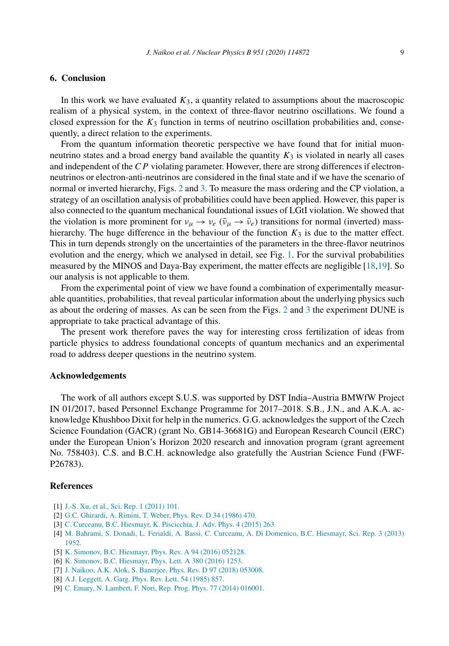# **6. Conclusion**

In this work we have evaluated  $K_3$ , a quantity related to assumptions about the macroscopic realism of a physical system, in the context of three-flavor neutrino oscillations. We found a closed expression for the  $K_3$  function in terms of neutrino oscillation probabilities and, consequently, a direct relation to the experiments.

From the quantum information theoretic perspective we have found that for initial muonneutrino states and a broad energy band available the quantity  $K_3$  is violated in nearly all cases and independent of the  $CP$  violating parameter. However, there are strong differences if electronneutrinos or electron-anti-neutrinos are considered in the final state and if we have the scenario of normal or inverted hierarchy, Figs. 2 and 3. To measure the mass ordering and the CP violation, a strategy of an oscillation analysis of probabilities could have been applied. However, this paper is also connected to the quantum mechanical foundational issues of LGtI violation. We showed that the violation is more prominent for  $v_{\mu} \to v_e$  ( $\bar{v}_{\mu} \to \bar{v}_e$ ) transitions for normal (inverted) masshierarchy. The huge difference in the behaviour of the function  $K_3$  is due to the matter effect. This in turn depends strongly on the uncertainties of the parameters in the three-flavor neutrinos evolution and the energy, which we analysed in detail, see Fig. 1. For the survival probabilities measured by the MINOS and Daya-Bay experiment, the matter effects are negligible [18,19]. So our analysis is not applicable to them.

From the experimental point of view we have found a combination of experimentally measurable quantities, probabilities, that reveal particular information about the underlying physics such as about the ordering of masses. As can be seen from the Figs. 2 and 3 the experiment DUNE is appropriate to take practical advantage of this.

The present work therefore paves the way for interesting cross fertilization of ideas from particle physics to address foundational concepts of quantum mechanics and an experimental road to address deeper questions in the neutrino system.

# **Acknowledgements**

The work of all authors except S.U.S. was supported by DST India–Austria BMWfW Project IN 01/2017, based Personnel Exchange Programme for 2017–2018. S.B., J.N., and A.K.A. acknowledge Khushboo Dixit for help in the numerics. G.G. acknowledges the support of the Czech Science Foundation (GACR) (grant No. GB14-36681G) and European Research Council (ERC) under the European Union's Horizon 2020 research and innovation program (grant agreement No. 758403). C.S. and B.C.H. acknowledge also gratefully the Austrian Science Fund (FWF-P26783).

#### **References**

- [1] J.-S. Xu, et al., Sci. Rep. 1 (2011) 101.
- [2] G.C. Ghirardi, A. Rimini, T. Weber, Phys. Rev. D 34 (1986) 470.
- [3] C. Curceanu, B.C. Hiesmayr, K. Piscicchia, J. Adv. Phys. 4 (2015) 263.
- [4] M. Bahrami, S. Donadi, L. Ferialdi, A. Bassi, C. Curceanu, A. Di Domenico, B.C. Hiesmayr, Sci. Rep. 3 (2013) 1952.
- [5] K. Simonov, B.C. Hiesmayr, Phys. Rev. A 94 (2016) 052128.
- [6] K. Simonov, B.C. Hiesmayr, Phys. Lett. A 380 (2016) 1253.
- [7] J. Naikoo, A.K. Alok, S. Banerjee, Phys. Rev. D 97 (2018) 053008.
- [8] A.J. Leggett, A. Garg, Phys. Rev. Lett. 54 (1985) 857.
- [9] C. Emary, N. Lambert, F. Nori, Rep. Prog. Phys. 77 (2014) 016001.